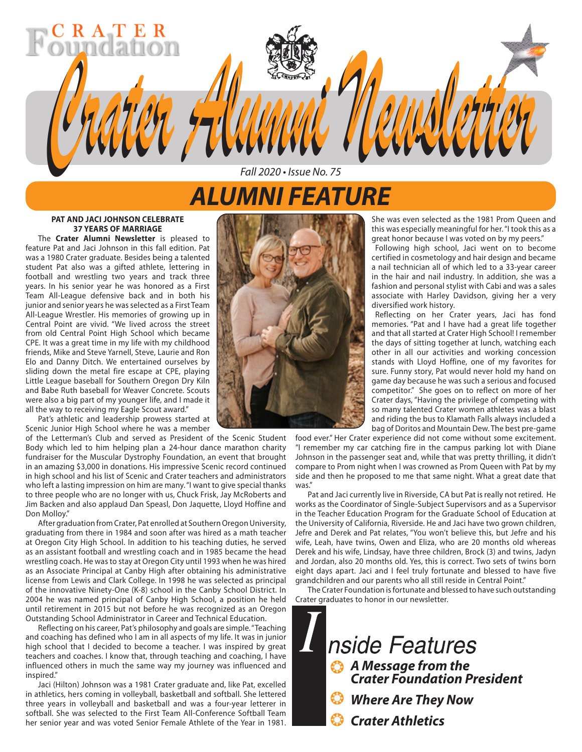## *ALUMNI FEATURE*

*Fall 2020 • Issue No. 75*

*Crater Alumni Newsletter Crater Alumni Newsletter*

#### **PAT AND JACI JOHNSON CELEBRATE 37 YEARS OF MARRIAGE**

R A T E

The **Crater Alumni Newsletter** is pleased to feature Pat and Jaci Johnson in this fall edition. Pat was a 1980 Crater graduate. Besides being a talented student Pat also was a gifted athlete, lettering in football and wrestling two years and track three years. In his senior year he was honored as a First Team All-League defensive back and in both his junior and senior years he was selected as a First Team All-League Wrestler. His memories of growing up in Central Point are vivid. "We lived across the street from old Central Point High School which became CPE. It was a great time in my life with my childhood friends, Mike and Steve Yarnell, Steve, Laurie and Ron Elo and Danny Ditch. We entertained ourselves by sliding down the metal fire escape at CPE, playing Little League baseball for Southern Oregon Dry Kiln and Babe Ruth baseball for Weaver Concrete. Scouts were also a big part of my younger life, and I made it all the way to receiving my Eagle Scout award."

Pat's athletic and leadership prowess started at Scenic Junior High School where he was a member

of the Letterman's Club and served as President of the Scenic Student Body which led to him helping plan a 24-hour dance marathon charity fundraiser for the Muscular Dystrophy Foundation, an event that brought in an amazing \$3,000 in donations. His impressive Scenic record continued in high school and his list of Scenic and Crater teachers and administrators who left a lasting impression on him are many. "I want to give special thanks to three people who are no longer with us, Chuck Frisk, Jay McRoberts and Jim Backen and also applaud Dan Speasl, Don Jaquette, Lloyd Hoffine and Don Molloy."

After graduation from Crater, Pat enrolled at Southern Oregon University, graduating from there in 1984 and soon after was hired as a math teacher at Oregon City High School. In addition to his teaching duties, he served as an assistant football and wrestling coach and in 1985 became the head wrestling coach. He was to stay at Oregon City until 1993 when he was hired as an Associate Principal at Canby High after obtaining his administrative license from Lewis and Clark College. In 1998 he was selected as principal of the innovative Ninety-One (K-8) school in the Canby School District. In 2004 he was named principal of Canby High School, a position he held until retirement in 2015 but not before he was recognized as an Oregon Outstanding School Administrator in Career and Technical Education.

Reflecting on his career, Pat's philosophy and goals are simple. "Teaching and coaching has defined who I am in all aspects of my life. It was in junior high school that I decided to become a teacher. I was inspired by great teachers and coaches. I know that, through teaching and coaching, I have influenced others in much the same way my journey was influenced and inspired"

Jaci (Hilton) Johnson was a 1981 Crater graduate and, like Pat, excelled in athletics, hers coming in volleyball, basketball and softball. She lettered three years in volleyball and basketball and was a four-year letterer in softball. She was selected to the First Team All-Conference Softball Team her senior year and was voted Senior Female Athlete of the Year in 1981.



She was even selected as the 1981 Prom Queen and this was especially meaningful for her. "I took this as a great honor because I was voted on by my peers."

Following high school, Jaci went on to become certified in cosmetology and hair design and became a nail technician all of which led to a 33-year career in the hair and nail industry. In addition, she was a fashion and personal stylist with Cabi and was a sales associate with Harley Davidson, giving her a very diversified work history.

Reflecting on her Crater years, Jaci has fond memories. "Pat and I have had a great life together and that all started at Crater High School! I remember the days of sitting together at lunch, watching each other in all our activities and working concession stands with Lloyd Hoffine, one of my favorites for sure. Funny story, Pat would never hold my hand on game day because he was such a serious and focused competitor." She goes on to reflect on more of her Crater days, "Having the privilege of competing with so many talented Crater women athletes was a blast and riding the bus to Klamath Falls always included a bag of Doritos and Mountain Dew. The best pre-game

food ever." Her Crater experience did not come without some excitement. "I remember my car catching fire in the campus parking lot with Diane Johnson in the passenger seat and, while that was pretty thrilling, it didn't compare to Prom night when I was crowned as Prom Queen with Pat by my side and then he proposed to me that same night. What a great date that was."

Pat and Jaci currently live in Riverside, CA but Pat is really not retired. He works as the Coordinator of Single-Subject Supervisors and as a Supervisor in the Teacher Education Program for the Graduate School of Education at the University of California, Riverside. He and Jaci have two grown children, Jefre and Derek and Pat relates, "You won't believe this, but Jefre and his wife, Leah, have twins, Owen and Eliza, who are 20 months old whereas Derek and his wife, Lindsay, have three children, Brock (3) and twins, Jadyn and Jordan, also 20 months old. Yes, this is correct. Two sets of twins born eight days apart. Jaci and I feel truly fortunate and blessed to have five grandchildren and our parents who all still reside in Central Point."

The Crater Foundation is fortunate and blessed to have such outstanding Crater graduates to honor in our newsletter.

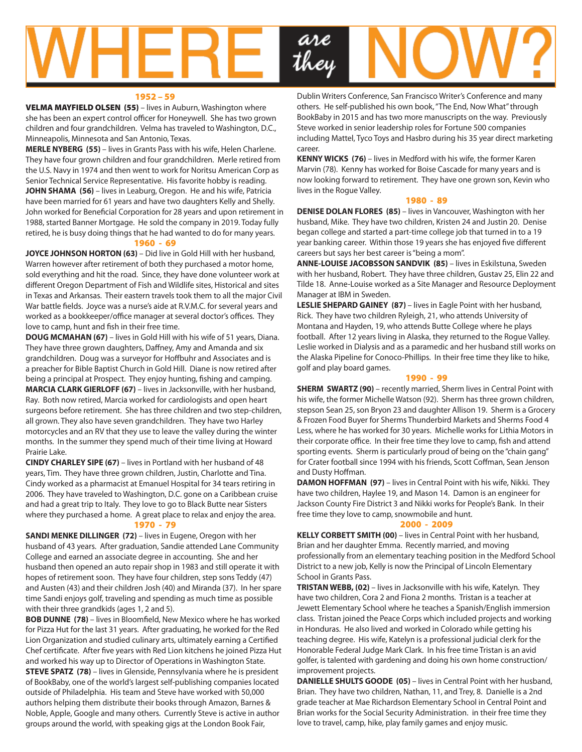

#### 1952 – 59

VELMA MAYFIELD OLSEN (55) – lives in Auburn, Washington where she has been an expert control officer for Honeywell. She has two grown children and four grandchildren. Velma has traveled to Washington, D.C., Minneapolis, Minnesota and San Antonio, Texas.

**MERLE NYBERG (55)** – lives in Grants Pass with his wife, Helen Charlene. They have four grown children and four grandchildren. Merle retired from the U.S. Navy in 1974 and then went to work for Noritsu American Corp as Senior Technical Service Representative. His favorite hobby is reading. **JOHN SHAMA (56)** – lives in Leaburg, Oregon. He and his wife, Patricia have been married for 61 years and have two daughters Kelly and Shelly. John worked for Beneficial Corporation for 28 years and upon retirement in 1988, started Banner Mortgage. He sold the company in 2019. Today fully retired, he is busy doing things that he had wanted to do for many years.

#### 1960 - 69

**JOYCE JOHNSON HORTON (63)** – Did live in Gold Hill with her husband, Warren however after retirement of both they purchased a motor home, sold everything and hit the road. Since, they have done volunteer work at different Oregon Department of Fish and Wildlife sites, Historical and sites in Texas and Arkansas. Their eastern travels took them to all the major Civil War battle fields. Joyce was a nurse's aide at R.V.M.C. for several years and worked as a bookkeeper/office manager at several doctor's offices. They love to camp, hunt and fish in their free time.

**DOUG MCMAHAN (67)** – lives in Gold Hill with his wife of 51 years, Diana. They have three grown daughters, Daffney, Amy and Amanda and six grandchildren. Doug was a surveyor for Hoffbuhr and Associates and is a preacher for Bible Baptist Church in Gold Hill. Diane is now retired after being a principal at Prospect. They enjoy hunting, fishing and camping. **MARCIA CLARK GIERLOFF (67)** – lives in Jacksonville, with her husband, Ray. Both now retired, Marcia worked for cardiologists and open heart surgeons before retirement. She has three children and two step-children, all grown. They also have seven grandchildren. They have two Harley motorcycles and an RV that they use to leave the valley during the winter months. In the summer they spend much of their time living at Howard Prairie Lake.

**CINDY CHARLEY SIPE (67)** – lives in Portland with her husband of 48 years, Tim. They have three grown children, Justin, Charlotte and Tina. Cindy worked as a pharmacist at Emanuel Hospital for 34 tears retiring in 2006. They have traveled to Washington, D.C. gone on a Caribbean cruise and had a great trip to Italy. They love to go to Black Butte near Sisters where they purchased a home. A great place to relax and enjoy the area. 1970 - 79

#### **SANDI MENKE DILLINGER (72)** – lives in Eugene, Oregon with her husband of 43 years. After graduation, Sandie attended Lane Community College and earned an associate degree in accounting. She and her husband then opened an auto repair shop in 1983 and still operate it with hopes of retirement soon. They have four children, step sons Teddy (47) and Austen (43) and their children Josh (40) and Miranda (37). In her spare time Sandi enjoys golf, traveling and spending as much time as possible with their three grandkids (ages 1, 2 and 5).

**BOB DUNNE (78)** – lives in Bloomfield, New Mexico where he has worked for Pizza Hut for the last 31 years. After graduating, he worked for the Red Lion Organization and studied culinary arts, ultimately earning a Certified Chef certificate. After five years with Red Lion kitchens he joined Pizza Hut and worked his way up to Director of Operations in Washington State. **STEVE SPATZ (78)** – lives in Glenside, Pennsylvania where he is president of BookBaby, one of the world's largest self-publishing companies located outside of Philadelphia. His team and Steve have worked with 50,000 authors helping them distribute their books through Amazon, Barnes & Noble, Apple, Google and many others. Currently Steve is active in author groups around the world, with speaking gigs at the London Book Fair,

Dublin Writers Conference, San Francisco Writer's Conference and many others. He self-published his own book, "The End, Now What" through BookBaby in 2015 and has two more manuscripts on the way. Previously Steve worked in senior leadership roles for Fortune 500 companies including Mattel, Tyco Toys and Hasbro during his 35 year direct marketing career.

**KENNY WICKS (76)** – lives in Medford with his wife, the former Karen Marvin (78). Kenny has worked for Boise Cascade for many years and is now looking forward to retirement. They have one grown son, Kevin who lives in the Rogue Valley.

#### 1980 - 89

**DENISE DOLAN FLORES (85)** – lives in Vancouver, Washington with her husband, Mike. They have two children, Kristen 24 and Justin 20. Denise began college and started a part-time college job that turned in to a 19 year banking career. Within those 19 years she has enjoyed five different careers but says her best career is "being a mom".

**ANNE-LOUISE JACOBSSON SANDVIK (85)** – lives in Eskilstuna, Sweden with her husband, Robert. They have three children, Gustav 25, Elin 22 and Tilde 18. Anne-Louise worked as a Site Manager and Resource Deployment Manager at IBM in Sweden.

**LESLIE SHEPARD GAINEY (87)** – lives in Eagle Point with her husband, Rick. They have two children Ryleigh, 21, who attends University of Montana and Hayden, 19, who attends Butte College where he plays football. After 12 years living in Alaska, they returned to the Rogue Valley. Leslie worked in Dialysis and as a paramedic and her husband still works on the Alaska Pipeline for Conoco-Phillips. In their free time they like to hike, golf and play board games.

#### 1990 - 99

**SHERM SWARTZ (90)** – recently married, Sherm lives in Central Point with his wife, the former Michelle Watson (92). Sherm has three grown children, stepson Sean 25, son Bryon 23 and daughter Allison 19. Sherm is a Grocery & Frozen Food Buyer for Sherms Thunderbird Markets and Sherms Food 4 Less, where he has worked for 30 years. Michelle works for Lithia Motors in their corporate office. In their free time they love to camp, fish and attend sporting events. Sherm is particularly proud of being on the "chain gang" for Crater football since 1994 with his friends, Scott Coffman, Sean Jenson and Dusty Hoffman.

**DAMON HOFFMAN (97)** – lives in Central Point with his wife, Nikki. They have two children, Haylee 19, and Mason 14. Damon is an engineer for Jackson County Fire District 3 and Nikki works for People's Bank. In their free time they love to camp, snowmobile and hunt.

#### 2000 - 2009

**KELLY CORBETT SMITH (00)** – lives in Central Point with her husband, Brian and her daughter Emma. Recently married, and moving professionally from an elementary teaching position in the Medford School District to a new job, Kelly is now the Principal of Lincoln Elementary School in Grants Pass.

**TRISTAN WEBB, (02)** – lives in Jacksonville with his wife, Katelyn. They have two children, Cora 2 and Fiona 2 months. Tristan is a teacher at Jewett Elementary School where he teaches a Spanish/English immersion class. Tristan joined the Peace Corps which included projects and working in Honduras. He also lived and worked in Colorado while getting his teaching degree. His wife, Katelyn is a professional judicial clerk for the Honorable Federal Judge Mark Clark. In his free time Tristan is an avid golfer, is talented with gardening and doing his own home construction/ improvement projects.

**DANIELLE SHULTS GOODE (05)** – lives in Central Point with her husband, Brian. They have two children, Nathan, 11, and Trey, 8. Danielle is a 2nd grade teacher at Mae Richardson Elementary School in Central Point and Brian works for the Social Security Administration. in their free time they love to travel, camp, hike, play family games and enjoy music.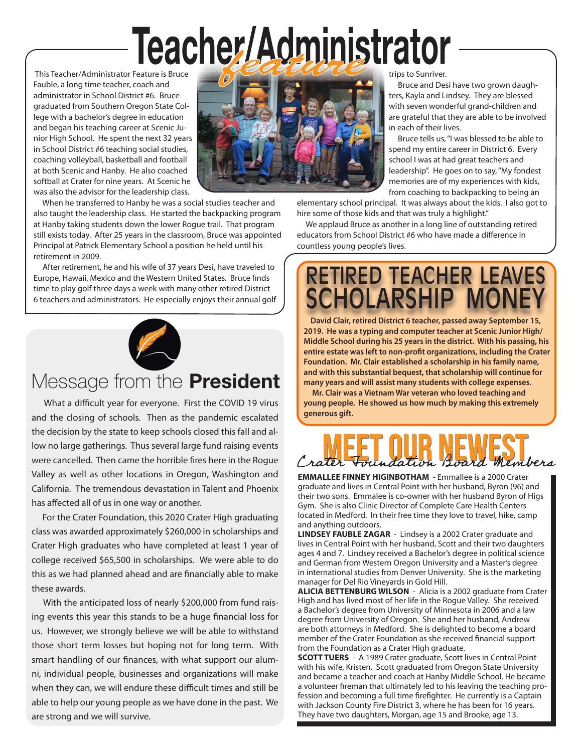# Teacher/Administrator

 This Teacher/Administrator Feature is Bruce Fauble, a long time teacher, coach and administrator in School District #6. Bruce graduated from Southern Oregon State College with a bachelor's degree in education and began his teaching career at Scenic Junior High School. He spent the next 32 years in School District #6 teaching social studies, coaching volleyball, basketball and football at both Scenic and Hanby. He also coached softball at Crater for nine years. At Scenic he was also the advisor for the leadership class.

 When he transferred to Hanby he was a social studies teacher and also taught the leadership class. He started the backpacking program at Hanby taking students down the lower Rogue trail. That program still exists today. After 25 years in the classroom, Bruce was appointed Principal at Patrick Elementary School a position he held until his retirement in 2009.

 After retirement, he and his wife of 37 years Desi, have traveled to Europe, Hawaii, Mexico and the Western United States. Bruce finds time to play golf three days a week with many other retired District 6 teachers and administrators. He especially enjoys their annual golf



## Message from the **President**

 What a difficult year for everyone. First the COVID 19 virus and the closing of schools. Then as the pandemic escalated the decision by the state to keep schools closed this fall and allow no large gatherings. Thus several large fund raising events were cancelled. Then came the horrible fires here in the Rogue Valley as well as other locations in Oregon, Washington and California. The tremendous devastation in Talent and Phoenix has affected all of us in one way or another.

 For the Crater Foundation, this 2020 Crater High graduating class was awarded approximately \$260,000 in scholarships and Crater High graduates who have completed at least 1 year of college received \$65,500 in scholarships. We were able to do this as we had planned ahead and are financially able to make these awards.

 With the anticipated loss of nearly \$200,000 from fund raising events this year this stands to be a huge financial loss for us. However, we strongly believe we will be able to withstand those short term losses but hoping not for long term. With smart handling of our finances, with what support our alumni, individual people, businesses and organizations will make when they can, we will endure these difficult times and still be able to help our young people as we have done in the past. We are strong and we will survive.



trips to Sunriver.

 Bruce and Desi have two grown daughters, Kayla and Lindsey. They are blessed with seven wonderful grand-children and are grateful that they are able to be involved in each of their lives.

 Bruce tells us, "I was blessed to be able to spend my entire career in District 6. Every school I was at had great teachers and leadership". He goes on to say, "My fondest memories are of my experiences with kids, from coaching to backpacking to being an

elementary school principal. It was always about the kids. I also got to hire some of those kids and that was truly a highlight."

 We applaud Bruce as another in a long line of outstanding retired educators from School District #6 who have made a difference in countless young people's lives.

## RETIRED TEACHER LEAVES CHOLARSHIP MO

 **David Clair, retired District 6 teacher, passed away September 15, 2019. He was a typing and computer teacher at Scenic Junior High/ Middle School during his 25 years in the district. With his passing, his entire estate was left to non-profit organizations, including the Crater Foundation. Mr. Clair established a scholarship in his family name, and with this substantial bequest, that scholarship will continue for many years and will assist many students with college expenses.**

 **Mr. Clair was a Vietnam War veteran who loved teaching and young people. He showed us how much by making this extremely generous gift.**

## Loard Members

**EMMALLEE FINNEY HIGINBOTHAM** - Emmallee is a 2000 Crater graduate and lives in Central Point with her husband, Byron (96) and their two sons. Emmalee is co-owner with her husband Byron of Higs Gym. She is also Clinic Director of Complete Care Health Centers located in Medford. In their free time they love to travel, hike, camp and anything outdoors.

**LINDSEY FAUBLE ZAGAR** - Lindsey is a 2002 Crater graduate and lives in Central Point with her husband, Scott and their two daughters ages 4 and 7. Lindsey received a Bachelor's degree in political science and German from Western Oregon University and a Master's degree in international studies from Denver University. She is the marketing manager for Del Rio Vineyards in Gold Hill.

**ALICIA BETTENBURG WILSON** - Alicia is a 2002 graduate from Crater High and has lived most of her life in the Rogue Valley. She received a Bachelor's degree from University of Minnesota in 2006 and a law degree from University of Oregon. She and her husband, Andrew are both attorneys in Medford. She is delighted to become a board member of the Crater Foundation as she received financial support from the Foundation as a Crater High graduate.

**SCOTT TUERS** - A 1989 Crater graduate, Scott lives in Central Point with his wife, Kristen. Scott graduated from Oregon State University and became a teacher and coach at Hanby Middle School. He became a volunteer fireman that ultimately led to his leaving the teaching profession and becoming a full time firefighter. He currently is a Captain with Jackson County Fire District 3, where he has been for 16 years. They have two daughters, Morgan, age 15 and Brooke, age 13.